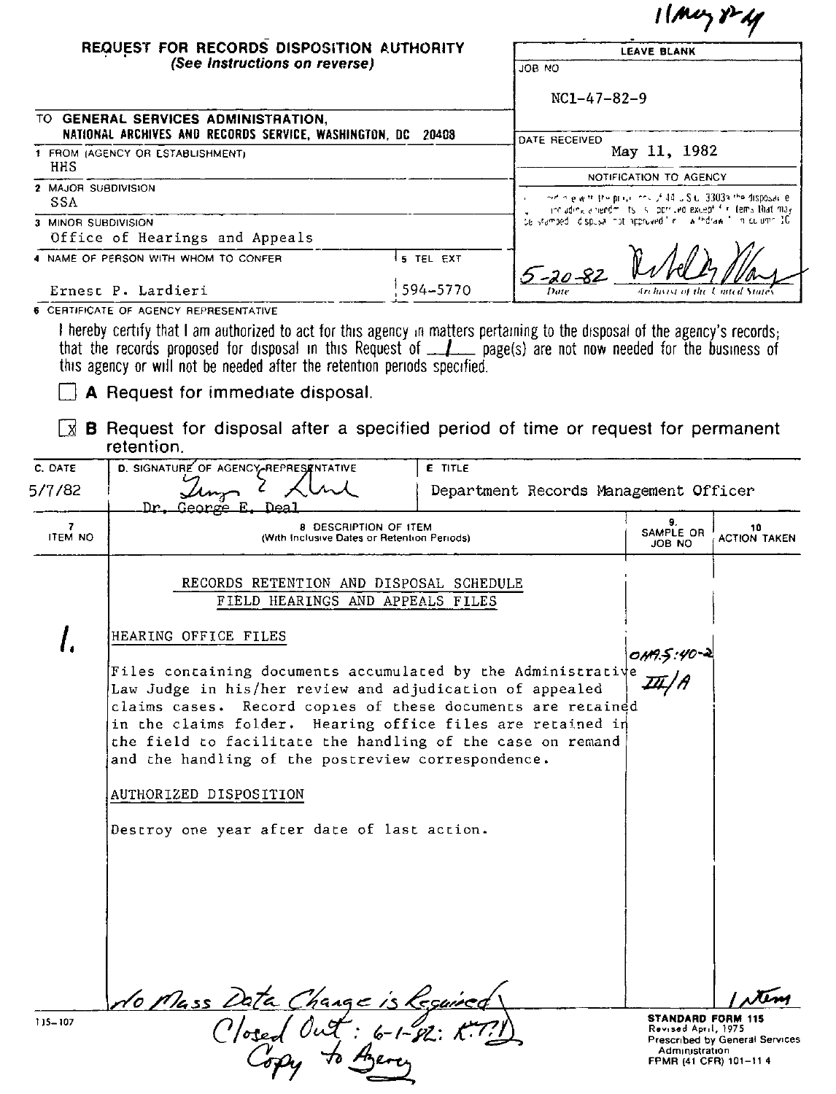|                                                             |                                                                                                                                                                                                                                                                                                                                                                           |                |                                                                                        | $11$ Muy $1 - 4$                                                                             |                                |  |
|-------------------------------------------------------------|---------------------------------------------------------------------------------------------------------------------------------------------------------------------------------------------------------------------------------------------------------------------------------------------------------------------------------------------------------------------------|----------------|----------------------------------------------------------------------------------------|----------------------------------------------------------------------------------------------|--------------------------------|--|
|                                                             | REQUEST FOR RECORDS DISPOSITION AUTHORITY<br>(See Instructions on reverse)                                                                                                                                                                                                                                                                                                |                |                                                                                        | <b>LEAVE BLANK</b>                                                                           |                                |  |
|                                                             |                                                                                                                                                                                                                                                                                                                                                                           |                | ON AOL                                                                                 |                                                                                              |                                |  |
| TO GENERAL SERVICES ADMINISTRATION,                         |                                                                                                                                                                                                                                                                                                                                                                           |                | $NC1-47-82-9$                                                                          |                                                                                              |                                |  |
| NATIONAL ARCHIVES AND RECORDS SERVICE, WASHINGTON, DC 20408 |                                                                                                                                                                                                                                                                                                                                                                           |                | DATE RECEIVED<br>May 11, 1982                                                          |                                                                                              |                                |  |
| HHS                                                         | 1 FROM (AGENCY OR ESTABLISHMENT)                                                                                                                                                                                                                                                                                                                                          |                |                                                                                        |                                                                                              |                                |  |
| 2 MAJOR SUBDIVISION<br>SSA                                  |                                                                                                                                                                                                                                                                                                                                                                           |                | NOTIFICATION TO AGENCY<br>ordin elwith the propriet of 44 U.S.C. 33039 the disposal le |                                                                                              |                                |  |
| 3 MINOR SUBDIVISION                                         |                                                                                                                                                                                                                                                                                                                                                                           |                | de stamped idispusa not approved finitive thidraw in in culumn 10                      | and ading a needmillity is cloper and except first tems that may                             |                                |  |
| Office of Hearings and Appeals                              |                                                                                                                                                                                                                                                                                                                                                                           |                |                                                                                        |                                                                                              |                                |  |
| 4 NAME OF PERSON WITH WHOM TO CONFER                        |                                                                                                                                                                                                                                                                                                                                                                           | 5 TEL EXT      | 5-20-82                                                                                |                                                                                              |                                |  |
| Ernest P. Lardieri                                          |                                                                                                                                                                                                                                                                                                                                                                           | 594-5770       | Archivest of the                                                                       |                                                                                              |                                |  |
|                                                             | 6 CERTIFICATE OF AGENCY REPRESENTATIVE                                                                                                                                                                                                                                                                                                                                    |                |                                                                                        |                                                                                              |                                |  |
|                                                             | I hereby certify that I am authorized to act for this agency in matters pertaining to the disposal of the agency's records;<br>that the records proposed for disposal in this Request of _______ page(s) are not now needed for the business of<br>this agency or will not be needed after the retention periods specified.                                               |                |                                                                                        |                                                                                              |                                |  |
|                                                             | A Request for immediate disposal.                                                                                                                                                                                                                                                                                                                                         |                |                                                                                        |                                                                                              |                                |  |
| Ιxί                                                         | <b>B</b> Request for disposal after a specified period of time or request for permanent<br>retention.                                                                                                                                                                                                                                                                     |                |                                                                                        |                                                                                              |                                |  |
| C. DATE                                                     | D. SIGNATURE OF AGENCY-REPRESENTATIVE                                                                                                                                                                                                                                                                                                                                     | <b>E</b> TITLE |                                                                                        |                                                                                              |                                |  |
| 5/7/82                                                      | <u> Dr. George</u><br>Deal<br>E                                                                                                                                                                                                                                                                                                                                           |                | Department Records Management Officer                                                  |                                                                                              |                                |  |
| 7<br>ITEM NO                                                | 8 DESCRIPTION OF ITEM<br>(With Inclusive Dates or Retention Periods).                                                                                                                                                                                                                                                                                                     |                |                                                                                        | 9.<br>SAMPLE OR<br>JOB NO                                                                    | 10<br><b>ACTION TAKEN</b>      |  |
|                                                             | RECORDS RETENTION AND DISPOSAL SCHEDULE<br>FIELD HEARINGS AND APPEALS FILES                                                                                                                                                                                                                                                                                               |                |                                                                                        |                                                                                              |                                |  |
|                                                             | HEARING OFFICE FILES                                                                                                                                                                                                                                                                                                                                                      |                |                                                                                        |                                                                                              |                                |  |
|                                                             | Files containing documents accumulated by the Administrative<br>Law Judge in his/her review and adjudication of appealed<br>claims cases. Record copies of these documents are retained<br>in the claims folder. Hearing office files are retained in<br>the field to facilitate the handling of the case on remand<br>and the handling of the postreview correspondence. |                |                                                                                        | 0119.5:40-2                                                                                  |                                |  |
|                                                             | AUTHORIZED DISPOSITION                                                                                                                                                                                                                                                                                                                                                    |                |                                                                                        |                                                                                              |                                |  |
|                                                             | Destroy one year after date of last action.                                                                                                                                                                                                                                                                                                                               |                |                                                                                        |                                                                                              |                                |  |
|                                                             |                                                                                                                                                                                                                                                                                                                                                                           |                |                                                                                        |                                                                                              |                                |  |
| 115-107                                                     | No Mass Data Change is leguined                                                                                                                                                                                                                                                                                                                                           |                |                                                                                        | <b>STANDARD FORM 115</b><br>Revised April, 1975.<br>Administration<br>FPMR (41 CFR) 101-11 4 | Prescribed by General Services |  |